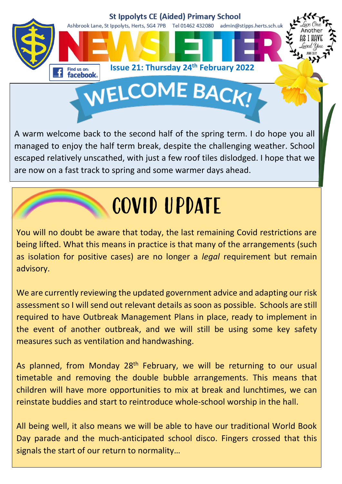

A warm welcome back to the second half of the spring term. I do hope you all managed to enjoy the half term break, despite the challenging weather. School escaped relatively unscathed, with just a few roof tiles dislodged. I hope that we are now on a fast track to spring and some warmer days ahead.

## COVID UPDATE

You will no doubt be aware that today, the last remaining Covid restrictions are being lifted. What this means in practice is that many of the arrangements (such as isolation for positive cases) are no longer a *legal* requirement but remain advisory.

We are currently reviewing the updated government advice and adapting our risk assessment so I will send out relevant details as soon as possible. Schools are still required to have Outbreak Management Plans in place, ready to implement in the event of another outbreak, and we will still be using some key safety measures such as ventilation and handwashing.

As planned, from Monday 28<sup>th</sup> February, we will be returning to our usual timetable and removing the double bubble arrangements. This means that children will have more opportunities to mix at break and lunchtimes, we can reinstate buddies and start to reintroduce whole-school worship in the hall.

All being well, it also means we will be able to have our traditional World Book Day parade and the much-anticipated school disco. Fingers crossed that this signals the start of our return to normality…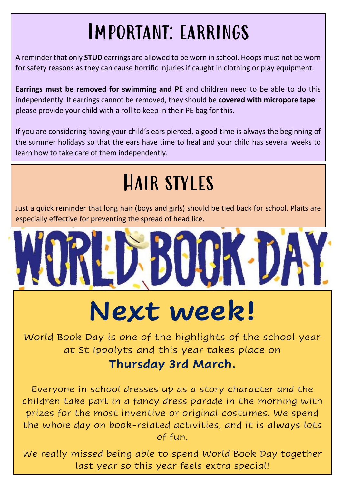### Important: earrings

A reminder that only **STUD** earrings are allowed to be worn in school. Hoops must not be worn for safety reasons as they can cause horrific injuries if caught in clothing or play equipment.

**Earrings must be removed for swimming and PE** and children need to be able to do this independently. If earrings cannot be removed, they should be **covered with micropore tape** – please provide your child with a roll to keep in their PE bag for this.

If you are considering having your child's ears pierced, a good time is always the beginning of the summer holidays so that the ears have time to heal and your child has several weeks to learn how to take care of them independently.

## Hair styles

Just a quick reminder that long hair (boys and girls) should be tied back for school. Plaits are especially effective for preventing the spread of head lice.



## **Next week!**

World Book Day is one of the highlights of the school year at St Ippolyts and this year takes place on **Thursday 3rd March.**

Everyone in school dresses up as a story character and the children take part in a fancy dress parade in the morning with prizes for the most inventive or original costumes. We spend the whole day on book-related activities, and it is always lots of fun.

We really missed being able to spend World Book Day together last year so this year feels extra special!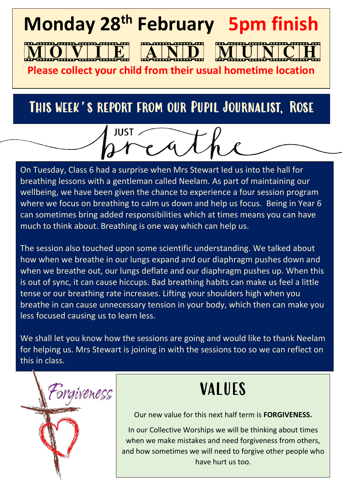# **Monday 28th February 5pm finish Please collect your child from their usual hometime location**

#### This week's report from our Pupil Journalist, Rose

JUST.

On Tuesday, Class 6 had a surprise when Mrs Stewart led us into the hall for breathing lessons with a gentleman called Neelam. As part of maintaining our wellbeing, we have been given the chance to experience a four session program where we focus on breathing to calm us down and help us focus. Being in Year 6 can sometimes bring added responsibilities which at times means you can have much to think about. Breathing is one way which can help us.

The session also touched upon some scientific understanding. We talked about how when we breathe in our lungs expand and our diaphragm pushes down and when we breathe out, our lungs deflate and our diaphragm pushes up. When this is out of sync, it can cause hiccups. Bad breathing habits can make us feel a little tense or our breathing rate increases. Lifting your shoulders high when you breathe in can cause unnecessary tension in your body, which then can make you less focused causing us to learn less.

We shall let you know how the sessions are going and would like to thank Neelam for helping us. Mrs Stewart is joining in with the sessions too so we can reflect on this in class.



#### VALUES

Our new value for this next half term is **FORGIVENESS.**

In our Collective Worships we will be thinking about times when we make mistakes and need forgiveness from others, and how sometimes we will need to forgive other people who have hurt us too.